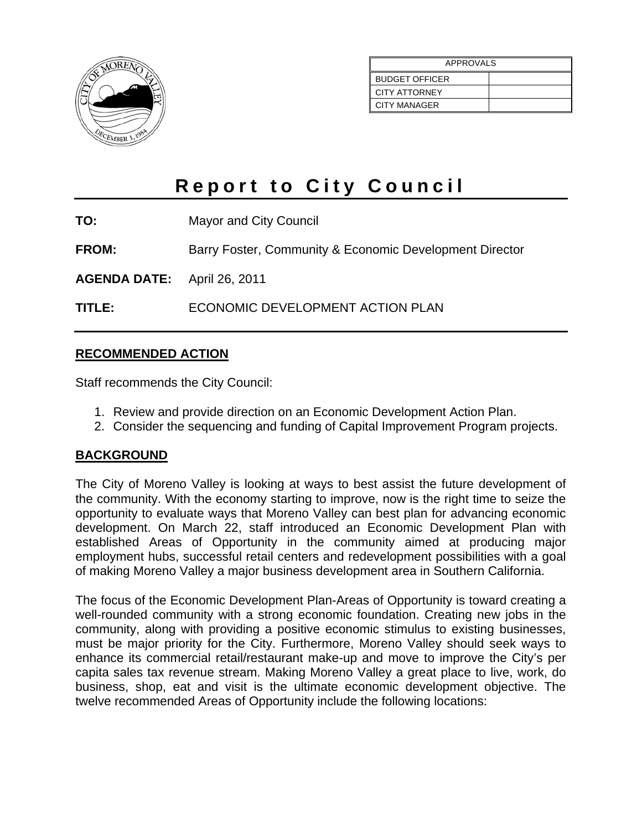

| APPROVALS             |  |
|-----------------------|--|
| <b>BUDGET OFFICER</b> |  |
| <b>CITY ATTORNEY</b>  |  |
| CITY MANAGER          |  |

# **Report to City Council**

**TO:** Mayor and City Council

**FROM:** Barry Foster, Community & Economic Development Director

**AGENDA DATE:** April 26, 2011

**TITLE:** ECONOMIC DEVELOPMENT ACTION PLAN

# **RECOMMENDED ACTION**

Staff recommends the City Council:

- 1. Review and provide direction on an Economic Development Action Plan.
- 2. Consider the sequencing and funding of Capital Improvement Program projects.

# **BACKGROUND**

The City of Moreno Valley is looking at ways to best assist the future development of the community. With the economy starting to improve, now is the right time to seize the opportunity to evaluate ways that Moreno Valley can best plan for advancing economic development. On March 22, staff introduced an Economic Development Plan with established Areas of Opportunity in the community aimed at producing major employment hubs, successful retail centers and redevelopment possibilities with a goal of making Moreno Valley a major business development area in Southern California.

The focus of the Economic Development Plan-Areas of Opportunity is toward creating a well-rounded community with a strong economic foundation. Creating new jobs in the community, along with providing a positive economic stimulus to existing businesses, must be major priority for the City. Furthermore, Moreno Valley should seek ways to enhance its commercial retail/restaurant make-up and move to improve the City's per capita sales tax revenue stream. Making Moreno Valley a great place to live, work, do business, shop, eat and visit is the ultimate economic development objective. The twelve recommended Areas of Opportunity include the following locations: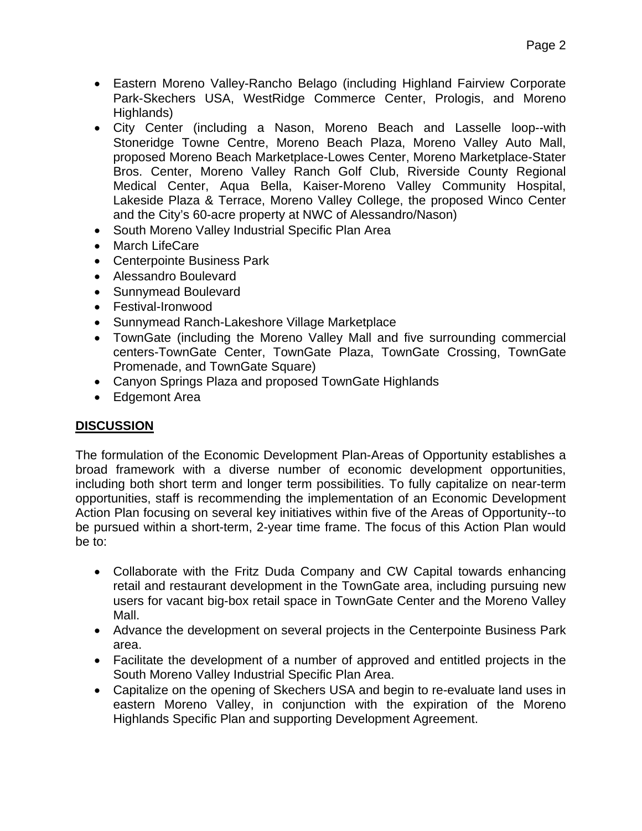- Eastern Moreno Valley-Rancho Belago (including Highland Fairview Corporate Park-Skechers USA, WestRidge Commerce Center, Prologis, and Moreno Highlands)
- City Center (including a Nason, Moreno Beach and Lasselle loop--with Stoneridge Towne Centre, Moreno Beach Plaza, Moreno Valley Auto Mall, proposed Moreno Beach Marketplace-Lowes Center, Moreno Marketplace-Stater Bros. Center, Moreno Valley Ranch Golf Club, Riverside County Regional Medical Center, Aqua Bella, Kaiser-Moreno Valley Community Hospital, Lakeside Plaza & Terrace, Moreno Valley College, the proposed Winco Center and the City's 60-acre property at NWC of Alessandro/Nason)
- South Moreno Valley Industrial Specific Plan Area
- March LifeCare
- Centerpointe Business Park
- Alessandro Boulevard
- Sunnymead Boulevard
- Festival-Ironwood
- Sunnymead Ranch-Lakeshore Village Marketplace
- TownGate (including the Moreno Valley Mall and five surrounding commercial centers-TownGate Center, TownGate Plaza, TownGate Crossing, TownGate Promenade, and TownGate Square)
- Canyon Springs Plaza and proposed TownGate Highlands
- Edgemont Area

# **DISCUSSION**

The formulation of the Economic Development Plan-Areas of Opportunity establishes a broad framework with a diverse number of economic development opportunities, including both short term and longer term possibilities. To fully capitalize on near-term opportunities, staff is recommending the implementation of an Economic Development Action Plan focusing on several key initiatives within five of the Areas of Opportunity--to be pursued within a short-term, 2-year time frame. The focus of this Action Plan would be to:

- Collaborate with the Fritz Duda Company and CW Capital towards enhancing retail and restaurant development in the TownGate area, including pursuing new users for vacant big-box retail space in TownGate Center and the Moreno Valley Mall.
- Advance the development on several projects in the Centerpointe Business Park area.
- Facilitate the development of a number of approved and entitled projects in the South Moreno Valley Industrial Specific Plan Area.
- Capitalize on the opening of Skechers USA and begin to re-evaluate land uses in eastern Moreno Valley, in conjunction with the expiration of the Moreno Highlands Specific Plan and supporting Development Agreement.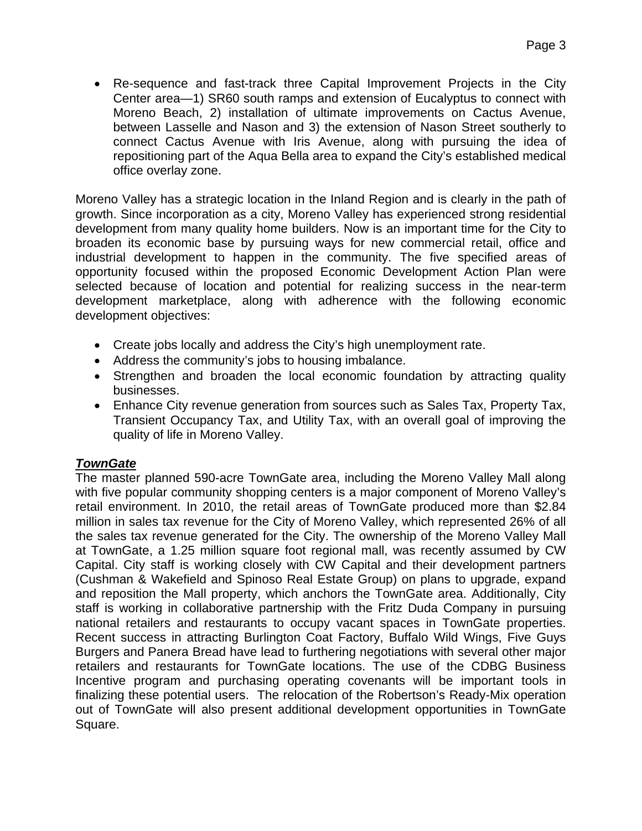Re-sequence and fast-track three Capital Improvement Projects in the City Center area—1) SR60 south ramps and extension of Eucalyptus to connect with Moreno Beach, 2) installation of ultimate improvements on Cactus Avenue, between Lasselle and Nason and 3) the extension of Nason Street southerly to connect Cactus Avenue with Iris Avenue, along with pursuing the idea of repositioning part of the Aqua Bella area to expand the City's established medical office overlay zone.

Moreno Valley has a strategic location in the Inland Region and is clearly in the path of growth. Since incorporation as a city, Moreno Valley has experienced strong residential development from many quality home builders. Now is an important time for the City to broaden its economic base by pursuing ways for new commercial retail, office and industrial development to happen in the community. The five specified areas of opportunity focused within the proposed Economic Development Action Plan were selected because of location and potential for realizing success in the near-term development marketplace, along with adherence with the following economic development objectives:

- Create jobs locally and address the City's high unemployment rate.
- Address the community's jobs to housing imbalance.
- Strengthen and broaden the local economic foundation by attracting quality businesses.
- Enhance City revenue generation from sources such as Sales Tax, Property Tax, Transient Occupancy Tax, and Utility Tax, with an overall goal of improving the quality of life in Moreno Valley.

#### *TownGate*

The master planned 590-acre TownGate area, including the Moreno Valley Mall along with five popular community shopping centers is a major component of Moreno Valley's retail environment. In 2010, the retail areas of TownGate produced more than \$2.84 million in sales tax revenue for the City of Moreno Valley, which represented 26% of all the sales tax revenue generated for the City. The ownership of the Moreno Valley Mall at TownGate, a 1.25 million square foot regional mall, was recently assumed by CW Capital. City staff is working closely with CW Capital and their development partners (Cushman & Wakefield and Spinoso Real Estate Group) on plans to upgrade, expand and reposition the Mall property, which anchors the TownGate area. Additionally, City staff is working in collaborative partnership with the Fritz Duda Company in pursuing national retailers and restaurants to occupy vacant spaces in TownGate properties. Recent success in attracting Burlington Coat Factory, Buffalo Wild Wings, Five Guys Burgers and Panera Bread have lead to furthering negotiations with several other major retailers and restaurants for TownGate locations. The use of the CDBG Business Incentive program and purchasing operating covenants will be important tools in finalizing these potential users. The relocation of the Robertson's Ready-Mix operation out of TownGate will also present additional development opportunities in TownGate Square.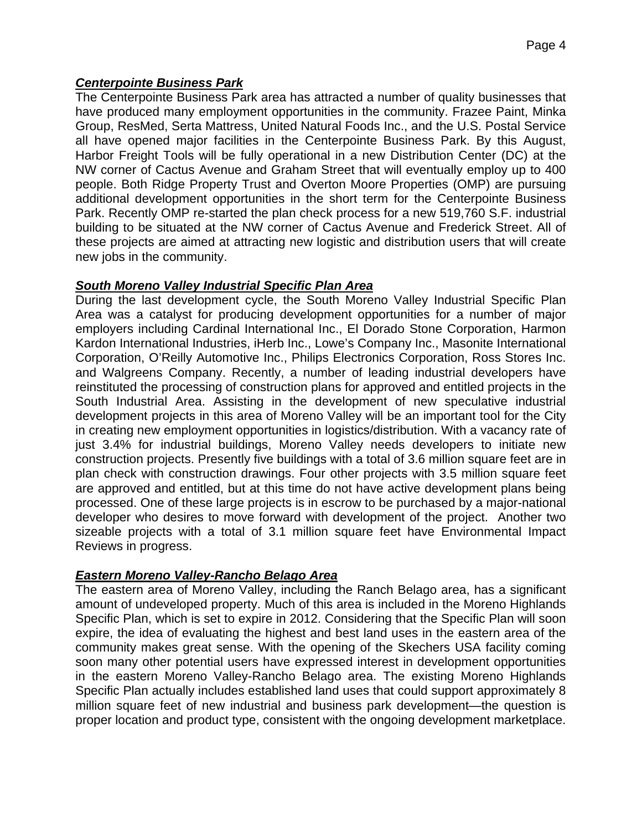# *Centerpointe Business Park*

The Centerpointe Business Park area has attracted a number of quality businesses that have produced many employment opportunities in the community. Frazee Paint, Minka Group, ResMed, Serta Mattress, United Natural Foods Inc., and the U.S. Postal Service all have opened major facilities in the Centerpointe Business Park. By this August, Harbor Freight Tools will be fully operational in a new Distribution Center (DC) at the NW corner of Cactus Avenue and Graham Street that will eventually employ up to 400 people. Both Ridge Property Trust and Overton Moore Properties (OMP) are pursuing additional development opportunities in the short term for the Centerpointe Business Park. Recently OMP re-started the plan check process for a new 519,760 S.F. industrial building to be situated at the NW corner of Cactus Avenue and Frederick Street. All of these projects are aimed at attracting new logistic and distribution users that will create new jobs in the community.

# *South Moreno Valley Industrial Specific Plan Area*

During the last development cycle, the South Moreno Valley Industrial Specific Plan Area was a catalyst for producing development opportunities for a number of major employers including Cardinal International Inc., El Dorado Stone Corporation, Harmon Kardon International Industries, iHerb Inc., Lowe's Company Inc., Masonite International Corporation, O'Reilly Automotive Inc., Philips Electronics Corporation, Ross Stores Inc. and Walgreens Company. Recently, a number of leading industrial developers have reinstituted the processing of construction plans for approved and entitled projects in the South Industrial Area. Assisting in the development of new speculative industrial development projects in this area of Moreno Valley will be an important tool for the City in creating new employment opportunities in logistics/distribution. With a vacancy rate of just 3.4% for industrial buildings, Moreno Valley needs developers to initiate new construction projects. Presently five buildings with a total of 3.6 million square feet are in plan check with construction drawings. Four other projects with 3.5 million square feet are approved and entitled, but at this time do not have active development plans being processed. One of these large projects is in escrow to be purchased by a major-national developer who desires to move forward with development of the project. Another two sizeable projects with a total of 3.1 million square feet have Environmental Impact Reviews in progress.

# *Eastern Moreno Valley-Rancho Belago Area*

The eastern area of Moreno Valley, including the Ranch Belago area, has a significant amount of undeveloped property. Much of this area is included in the Moreno Highlands Specific Plan, which is set to expire in 2012. Considering that the Specific Plan will soon expire, the idea of evaluating the highest and best land uses in the eastern area of the community makes great sense. With the opening of the Skechers USA facility coming soon many other potential users have expressed interest in development opportunities in the eastern Moreno Valley-Rancho Belago area. The existing Moreno Highlands Specific Plan actually includes established land uses that could support approximately 8 million square feet of new industrial and business park development—the question is proper location and product type, consistent with the ongoing development marketplace.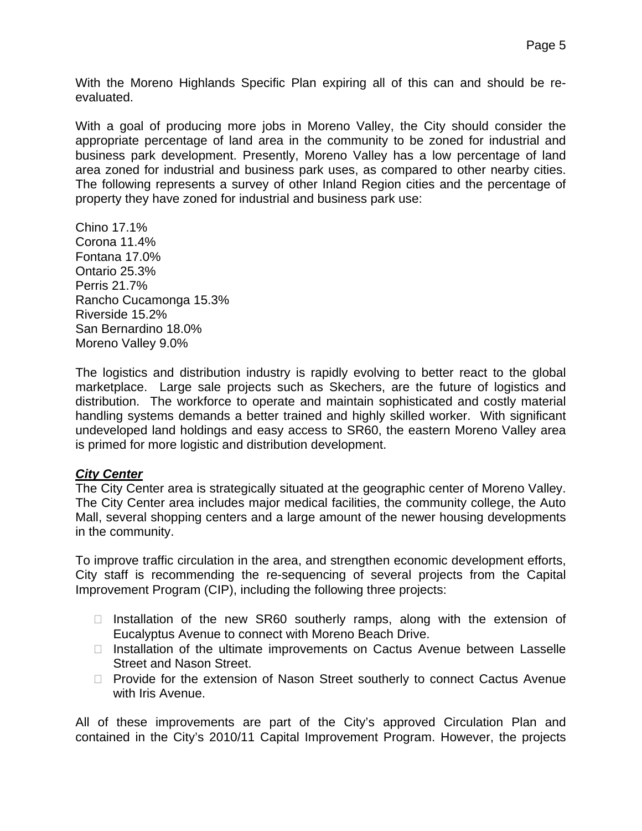With the Moreno Highlands Specific Plan expiring all of this can and should be reevaluated.

With a goal of producing more jobs in Moreno Valley, the City should consider the appropriate percentage of land area in the community to be zoned for industrial and business park development. Presently, Moreno Valley has a low percentage of land area zoned for industrial and business park uses, as compared to other nearby cities. The following represents a survey of other Inland Region cities and the percentage of property they have zoned for industrial and business park use:

Chino 17.1% Corona 11.4% Fontana 17.0% Ontario 25.3% Perris 21.7% Rancho Cucamonga 15.3% Riverside 15.2% San Bernardino 18.0% Moreno Valley 9.0%

The logistics and distribution industry is rapidly evolving to better react to the global marketplace. Large sale projects such as Skechers, are the future of logistics and distribution. The workforce to operate and maintain sophisticated and costly material handling systems demands a better trained and highly skilled worker. With significant undeveloped land holdings and easy access to SR60, the eastern Moreno Valley area is primed for more logistic and distribution development.

#### *City Center*

The City Center area is strategically situated at the geographic center of Moreno Valley. The City Center area includes major medical facilities, the community college, the Auto Mall, several shopping centers and a large amount of the newer housing developments in the community.

To improve traffic circulation in the area, and strengthen economic development efforts, City staff is recommending the re-sequencing of several projects from the Capital Improvement Program (CIP), including the following three projects:

- $\Box$  Installation of the new SR60 southerly ramps, along with the extension of Eucalyptus Avenue to connect with Moreno Beach Drive.
- $\Box$  Installation of the ultimate improvements on Cactus Avenue between Lasselle Street and Nason Street.
- $\Box$  Provide for the extension of Nason Street southerly to connect Cactus Avenue with Iris Avenue.

All of these improvements are part of the City's approved Circulation Plan and contained in the City's 2010/11 Capital Improvement Program. However, the projects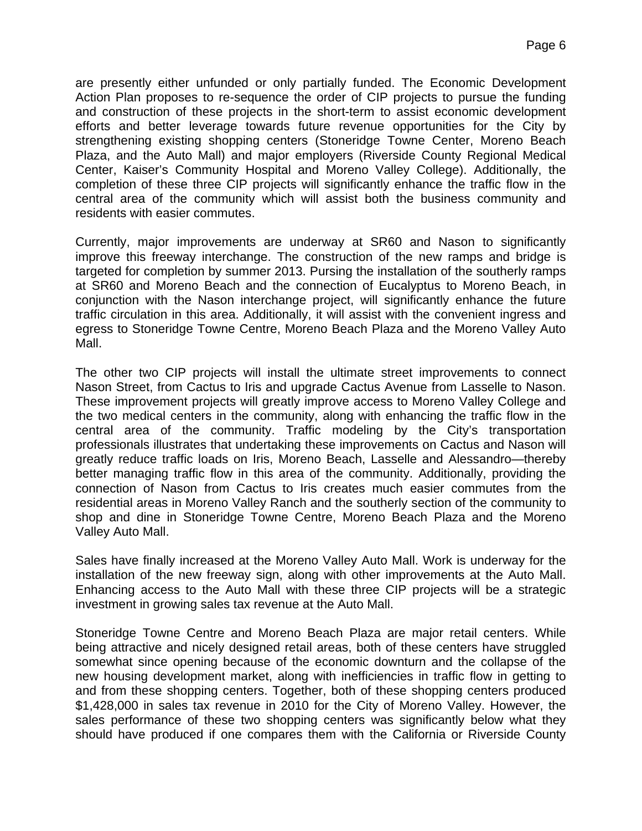are presently either unfunded or only partially funded. The Economic Development Action Plan proposes to re-sequence the order of CIP projects to pursue the funding and construction of these projects in the short-term to assist economic development efforts and better leverage towards future revenue opportunities for the City by strengthening existing shopping centers (Stoneridge Towne Center, Moreno Beach Plaza, and the Auto Mall) and major employers (Riverside County Regional Medical Center, Kaiser's Community Hospital and Moreno Valley College). Additionally, the completion of these three CIP projects will significantly enhance the traffic flow in the central area of the community which will assist both the business community and residents with easier commutes.

Currently, major improvements are underway at SR60 and Nason to significantly improve this freeway interchange. The construction of the new ramps and bridge is targeted for completion by summer 2013. Pursing the installation of the southerly ramps at SR60 and Moreno Beach and the connection of Eucalyptus to Moreno Beach, in conjunction with the Nason interchange project, will significantly enhance the future traffic circulation in this area. Additionally, it will assist with the convenient ingress and egress to Stoneridge Towne Centre, Moreno Beach Plaza and the Moreno Valley Auto Mall.

The other two CIP projects will install the ultimate street improvements to connect Nason Street, from Cactus to Iris and upgrade Cactus Avenue from Lasselle to Nason. These improvement projects will greatly improve access to Moreno Valley College and the two medical centers in the community, along with enhancing the traffic flow in the central area of the community. Traffic modeling by the City's transportation professionals illustrates that undertaking these improvements on Cactus and Nason will greatly reduce traffic loads on Iris, Moreno Beach, Lasselle and Alessandro—thereby better managing traffic flow in this area of the community. Additionally, providing the connection of Nason from Cactus to Iris creates much easier commutes from the residential areas in Moreno Valley Ranch and the southerly section of the community to shop and dine in Stoneridge Towne Centre, Moreno Beach Plaza and the Moreno Valley Auto Mall.

Sales have finally increased at the Moreno Valley Auto Mall. Work is underway for the installation of the new freeway sign, along with other improvements at the Auto Mall. Enhancing access to the Auto Mall with these three CIP projects will be a strategic investment in growing sales tax revenue at the Auto Mall.

Stoneridge Towne Centre and Moreno Beach Plaza are major retail centers. While being attractive and nicely designed retail areas, both of these centers have struggled somewhat since opening because of the economic downturn and the collapse of the new housing development market, along with inefficiencies in traffic flow in getting to and from these shopping centers. Together, both of these shopping centers produced \$1,428,000 in sales tax revenue in 2010 for the City of Moreno Valley. However, the sales performance of these two shopping centers was significantly below what they should have produced if one compares them with the California or Riverside County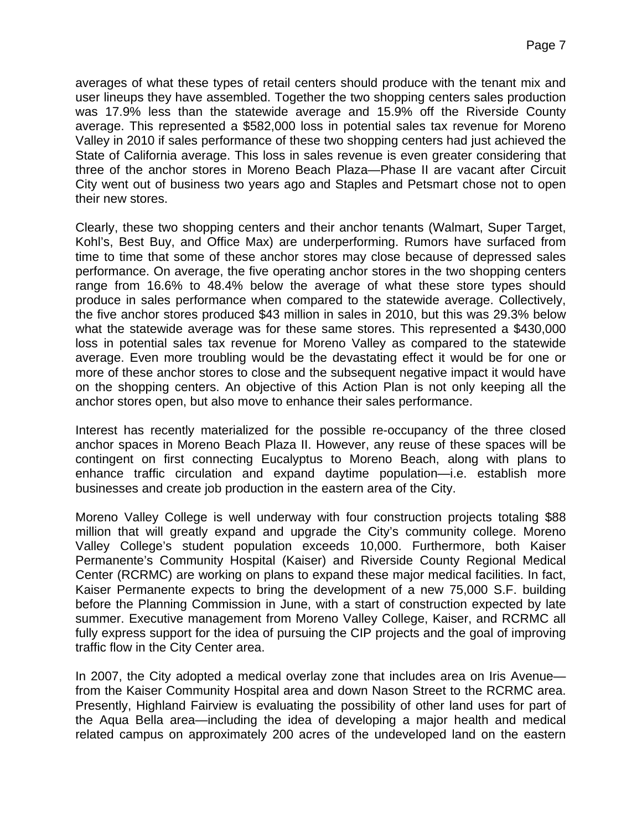averages of what these types of retail centers should produce with the tenant mix and user lineups they have assembled. Together the two shopping centers sales production was 17.9% less than the statewide average and 15.9% off the Riverside County average. This represented a \$582,000 loss in potential sales tax revenue for Moreno Valley in 2010 if sales performance of these two shopping centers had just achieved the State of California average. This loss in sales revenue is even greater considering that three of the anchor stores in Moreno Beach Plaza—Phase II are vacant after Circuit City went out of business two years ago and Staples and Petsmart chose not to open their new stores.

Clearly, these two shopping centers and their anchor tenants (Walmart, Super Target, Kohl's, Best Buy, and Office Max) are underperforming. Rumors have surfaced from time to time that some of these anchor stores may close because of depressed sales performance. On average, the five operating anchor stores in the two shopping centers range from 16.6% to 48.4% below the average of what these store types should produce in sales performance when compared to the statewide average. Collectively, the five anchor stores produced \$43 million in sales in 2010, but this was 29.3% below what the statewide average was for these same stores. This represented a \$430,000 loss in potential sales tax revenue for Moreno Valley as compared to the statewide average. Even more troubling would be the devastating effect it would be for one or more of these anchor stores to close and the subsequent negative impact it would have on the shopping centers. An objective of this Action Plan is not only keeping all the anchor stores open, but also move to enhance their sales performance.

Interest has recently materialized for the possible re-occupancy of the three closed anchor spaces in Moreno Beach Plaza II. However, any reuse of these spaces will be contingent on first connecting Eucalyptus to Moreno Beach, along with plans to enhance traffic circulation and expand daytime population—i.e. establish more businesses and create job production in the eastern area of the City.

Moreno Valley College is well underway with four construction projects totaling \$88 million that will greatly expand and upgrade the City's community college. Moreno Valley College's student population exceeds 10,000. Furthermore, both Kaiser Permanente's Community Hospital (Kaiser) and Riverside County Regional Medical Center (RCRMC) are working on plans to expand these major medical facilities. In fact, Kaiser Permanente expects to bring the development of a new 75,000 S.F. building before the Planning Commission in June, with a start of construction expected by late summer. Executive management from Moreno Valley College, Kaiser, and RCRMC all fully express support for the idea of pursuing the CIP projects and the goal of improving traffic flow in the City Center area.

In 2007, the City adopted a medical overlay zone that includes area on Iris Avenue from the Kaiser Community Hospital area and down Nason Street to the RCRMC area. Presently, Highland Fairview is evaluating the possibility of other land uses for part of the Aqua Bella area—including the idea of developing a major health and medical related campus on approximately 200 acres of the undeveloped land on the eastern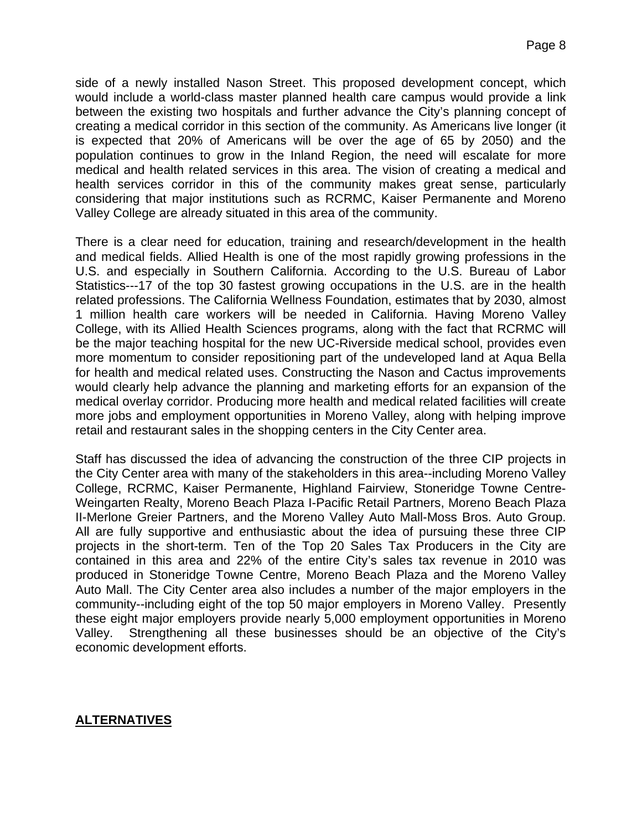side of a newly installed Nason Street. This proposed development concept, which would include a world-class master planned health care campus would provide a link between the existing two hospitals and further advance the City's planning concept of creating a medical corridor in this section of the community. As Americans live longer (it is expected that 20% of Americans will be over the age of 65 by 2050) and the population continues to grow in the Inland Region, the need will escalate for more medical and health related services in this area. The vision of creating a medical and health services corridor in this of the community makes great sense, particularly considering that major institutions such as RCRMC, Kaiser Permanente and Moreno Valley College are already situated in this area of the community.

There is a clear need for education, training and research/development in the health and medical fields. Allied Health is one of the most rapidly growing professions in the U.S. and especially in Southern California. According to the U.S. Bureau of Labor Statistics---17 of the top 30 fastest growing occupations in the U.S. are in the health related professions. The California Wellness Foundation, estimates that by 2030, almost 1 million health care workers will be needed in California. Having Moreno Valley College, with its Allied Health Sciences programs, along with the fact that RCRMC will be the major teaching hospital for the new UC-Riverside medical school, provides even more momentum to consider repositioning part of the undeveloped land at Aqua Bella for health and medical related uses. Constructing the Nason and Cactus improvements would clearly help advance the planning and marketing efforts for an expansion of the medical overlay corridor. Producing more health and medical related facilities will create more jobs and employment opportunities in Moreno Valley, along with helping improve retail and restaurant sales in the shopping centers in the City Center area.

Staff has discussed the idea of advancing the construction of the three CIP projects in the City Center area with many of the stakeholders in this area--including Moreno Valley College, RCRMC, Kaiser Permanente, Highland Fairview, Stoneridge Towne Centre-Weingarten Realty, Moreno Beach Plaza I-Pacific Retail Partners, Moreno Beach Plaza II-Merlone Greier Partners, and the Moreno Valley Auto Mall-Moss Bros. Auto Group. All are fully supportive and enthusiastic about the idea of pursuing these three CIP projects in the short-term. Ten of the Top 20 Sales Tax Producers in the City are contained in this area and 22% of the entire City's sales tax revenue in 2010 was produced in Stoneridge Towne Centre, Moreno Beach Plaza and the Moreno Valley Auto Mall. The City Center area also includes a number of the major employers in the community--including eight of the top 50 major employers in Moreno Valley. Presently these eight major employers provide nearly 5,000 employment opportunities in Moreno Valley. Strengthening all these businesses should be an objective of the City's economic development efforts.

#### **ALTERNATIVES**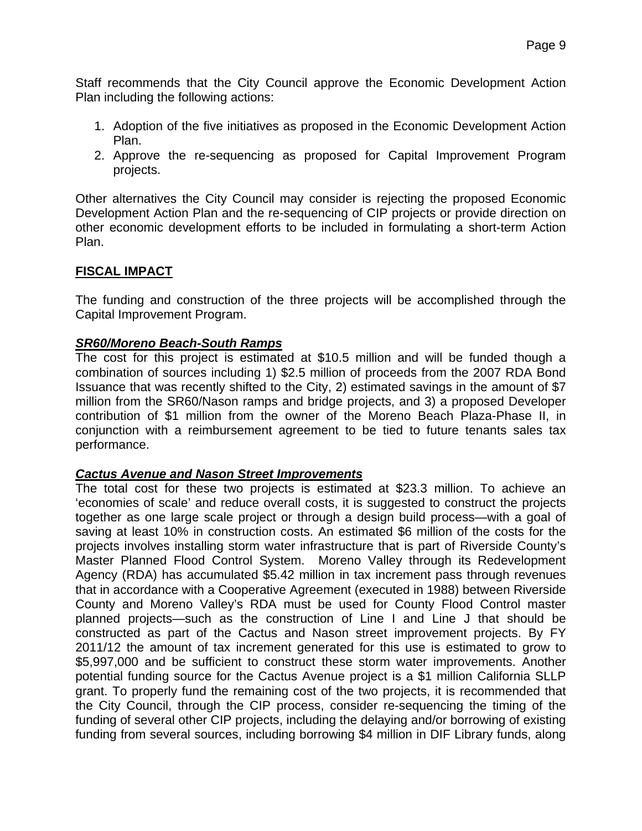Staff recommends that the City Council approve the Economic Development Action Plan including the following actions:

- 1. Adoption of the five initiatives as proposed in the Economic Development Action Plan.
- 2. Approve the re-sequencing as proposed for Capital Improvement Program projects.

Other alternatives the City Council may consider is rejecting the proposed Economic Development Action Plan and the re-sequencing of CIP projects or provide direction on other economic development efforts to be included in formulating a short-term Action Plan.

# **FISCAL IMPACT**

The funding and construction of the three projects will be accomplished through the Capital Improvement Program.

#### *SR60/Moreno Beach-South Ramps*

The cost for this project is estimated at \$10.5 million and will be funded though a combination of sources including 1) \$2.5 million of proceeds from the 2007 RDA Bond Issuance that was recently shifted to the City, 2) estimated savings in the amount of \$7 million from the SR60/Nason ramps and bridge projects, and 3) a proposed Developer contribution of \$1 million from the owner of the Moreno Beach Plaza-Phase II, in conjunction with a reimbursement agreement to be tied to future tenants sales tax performance.

#### *Cactus Avenue and Nason Street Improvements*

The total cost for these two projects is estimated at \$23.3 million. To achieve an 'economies of scale' and reduce overall costs, it is suggested to construct the projects together as one large scale project or through a design build process—with a goal of saving at least 10% in construction costs. An estimated \$6 million of the costs for the projects involves installing storm water infrastructure that is part of Riverside County's Master Planned Flood Control System. Moreno Valley through its Redevelopment Agency (RDA) has accumulated \$5.42 million in tax increment pass through revenues that in accordance with a Cooperative Agreement (executed in 1988) between Riverside County and Moreno Valley's RDA must be used for County Flood Control master planned projects—such as the construction of Line I and Line J that should be constructed as part of the Cactus and Nason street improvement projects. By FY 2011/12 the amount of tax increment generated for this use is estimated to grow to \$5,997,000 and be sufficient to construct these storm water improvements. Another potential funding source for the Cactus Avenue project is a \$1 million California SLLP grant. To properly fund the remaining cost of the two projects, it is recommended that the City Council, through the CIP process, consider re-sequencing the timing of the funding of several other CIP projects, including the delaying and/or borrowing of existing funding from several sources, including borrowing \$4 million in DIF Library funds, along